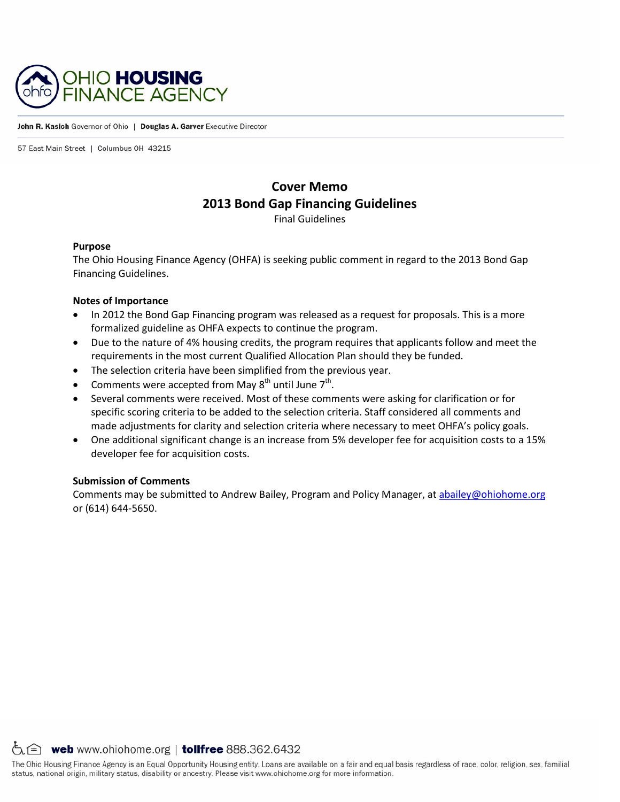

#### John R. Kasich Governor of Ohio | Douglas A. Garver Executive Director

57 East Main Street | Columbus 0H 43215

# **Cover Memo 2013 Bond Gap Financing Guidelines**

Final Guidelines

### **Purpose**

The Ohio Housing Finance Agency (OHFA) is seeking public comment in regard to the 2013 Bond Gap Financing Guidelines.

### **Notes of Importance**

- In 2012 the Bond Gap Financing program was released as a request for proposals. This is a more formalized guideline as OHFA expects to continue the program.
- Due to the nature of 4% housing credits, the program requires that applicants follow and meet the requirements in the most current Qualified Allocation Plan should they be funded.
- The selection criteria have been simplified from the previous year.
- Comments were accepted from May  $8<sup>th</sup>$  until June  $7<sup>th</sup>$ .
- Several comments were received. Most of these comments were asking for clarification or for specific scoring criteria to be added to the selection criteria. Staff considered all comments and made adjustments for clarity and selection criteria where necessary to meet OHFA's policy goals.
- One additional significant change is an increase from 5% developer fee for acquisition costs to a 15% developer fee for acquisition costs.

### **Submission of Comments**

Comments may be submitted to Andrew Bailey, Program and Policy Manager, at [abailey@ohiohome.org](mailto:abailey@ohiohome.org) or (614) 644-5650.

 $\circlearrowright$  web www.ohiohome.org | tollfree 888.362.6432

The Ohio Housing Finance Agency is an Equal Opportunity Housing entity. Loans are available on a fair and equal basis regardless of race, color, religion, sex, familial status, national origin, military status, disability or ancestry. Please visit www.ohiohome.org for more information.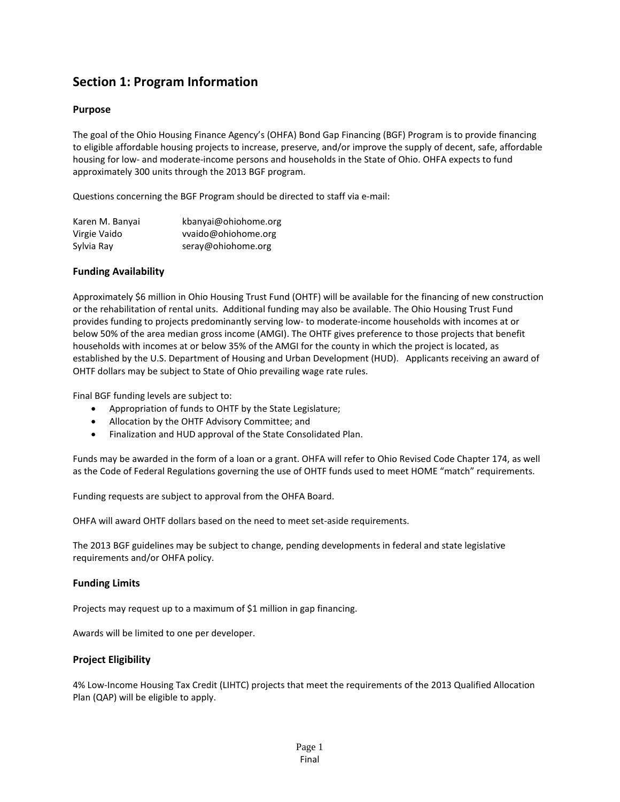# **Section 1: Program Information**

## **Purpose**

The goal of the Ohio Housing Finance Agency's (OHFA) Bond Gap Financing (BGF) Program is to provide financing to eligible affordable housing projects to increase, preserve, and/or improve the supply of decent, safe, affordable housing for low- and moderate-income persons and households in the State of Ohio. OHFA expects to fund approximately 300 units through the 2013 BGF program.

Questions concerning the BGF Program should be directed to staff via e-mail:

| Karen M. Banyai | kbanyai@ohiohome.org |
|-----------------|----------------------|
| Virgie Vaido    | vvaido@ohiohome.org  |
| Sylvia Ray      | seray@ohiohome.org   |

## **Funding Availability**

Approximately \$6 million in Ohio Housing Trust Fund (OHTF) will be available for the financing of new construction or the rehabilitation of rental units. Additional funding may also be available. The Ohio Housing Trust Fund provides funding to projects predominantly serving low- to moderate-income households with incomes at or below 50% of the area median gross income (AMGI). The OHTF gives preference to those projects that benefit households with incomes at or below 35% of the AMGI for the county in which the project is located, as established by the U.S. Department of Housing and Urban Development (HUD). Applicants receiving an award of OHTF dollars may be subject to State of Ohio prevailing wage rate rules.

Final BGF funding levels are subject to:

- Appropriation of funds to OHTF by the State Legislature;
- Allocation by the OHTF Advisory Committee; and
- Finalization and HUD approval of the State Consolidated Plan.

Funds may be awarded in the form of a loan or a grant. OHFA will refer to Ohio Revised Code Chapter 174, as well as the Code of Federal Regulations governing the use of OHTF funds used to meet HOME "match" requirements.

Funding requests are subject to approval from the OHFA Board.

OHFA will award OHTF dollars based on the need to meet set-aside requirements.

The 2013 BGF guidelines may be subject to change, pending developments in federal and state legislative requirements and/or OHFA policy.

### **Funding Limits**

Projects may request up to a maximum of \$1 million in gap financing.

Awards will be limited to one per developer.

### **Project Eligibility**

4% Low-Income Housing Tax Credit (LIHTC) projects that meet the requirements of the 2013 Qualified Allocation Plan (QAP) will be eligible to apply.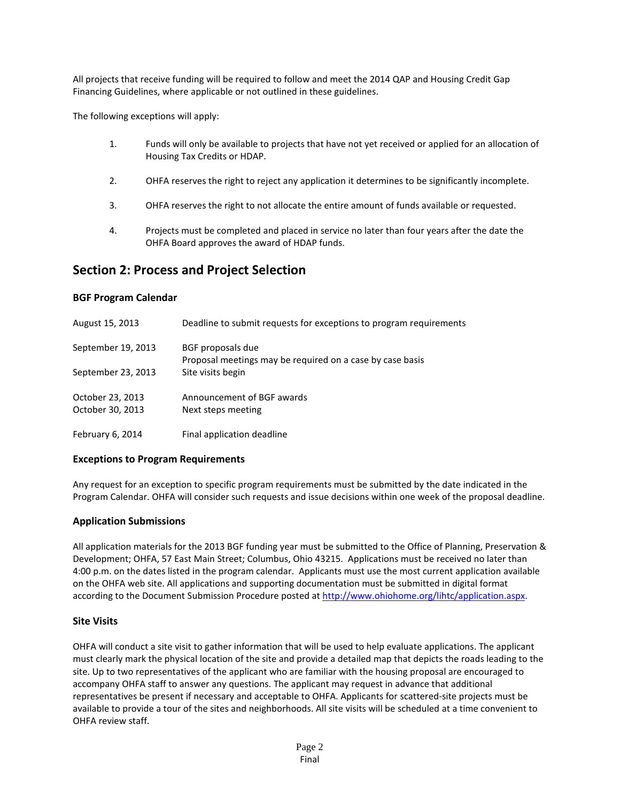All projects that receive funding will be required to follow and meet the 2014 QAP and Housing Credit Gap Financing Guidelines, where applicable or not outlined in these guidelines.

The following exceptions will apply:

- 1. Funds will only be available to projects that have not yet received or applied for an allocation of Housing Tax Credits or HDAP.
- 2. OHFA reserves the right to reject any application it determines to be significantly incomplete.
- 3. OHFA reserves the right to not allocate the entire amount of funds available or requested.
- 4. Projects must be completed and placed in service no later than four years after the date the OHFA Board approves the award of HDAP funds.

# **Section 2: Process and Project Selection**

### **BGF Program Calendar**

| August 15, 2013    | Deadline to submit requests for exceptions to program requirements             |
|--------------------|--------------------------------------------------------------------------------|
| September 19, 2013 | BGF proposals due<br>Proposal meetings may be required on a case by case basis |
| September 23, 2013 | Site visits begin                                                              |
| October 23, 2013   | Announcement of BGF awards                                                     |
| October 30, 2013   | Next steps meeting                                                             |
| February 6, 2014   | Final application deadline                                                     |

### **Exceptions to Program Requirements**

Any request for an exception to specific program requirements must be submitted by the date indicated in the Program Calendar. OHFA will consider such requests and issue decisions within one week of the proposal deadline.

### **Application Submissions**

All application materials for the 2013 BGF funding year must be submitted to the Office of Planning, Preservation & Development; OHFA, 57 East Main Street; Columbus, Ohio 43215. Applications must be received no later than 4:00 p.m. on the dates listed in the program calendar. Applicants must use the most current application available on the OHFA web site. All applications and supporting documentation must be submitted in digital format according to the Document Submission Procedure posted a[t http://www.ohiohome.org/lihtc/application.aspx.](http://www.ohiohome.org/lihtc/application.aspx)

### **Site Visits**

OHFA will conduct a site visit to gather information that will be used to help evaluate applications. The applicant must clearly mark the physical location of the site and provide a detailed map that depicts the roads leading to the site. Up to two representatives of the applicant who are familiar with the housing proposal are encouraged to accompany OHFA staff to answer any questions. The applicant may request in advance that additional representatives be present if necessary and acceptable to OHFA. Applicants for scattered-site projects must be available to provide a tour of the sites and neighborhoods. All site visits will be scheduled at a time convenient to OHFA review staff.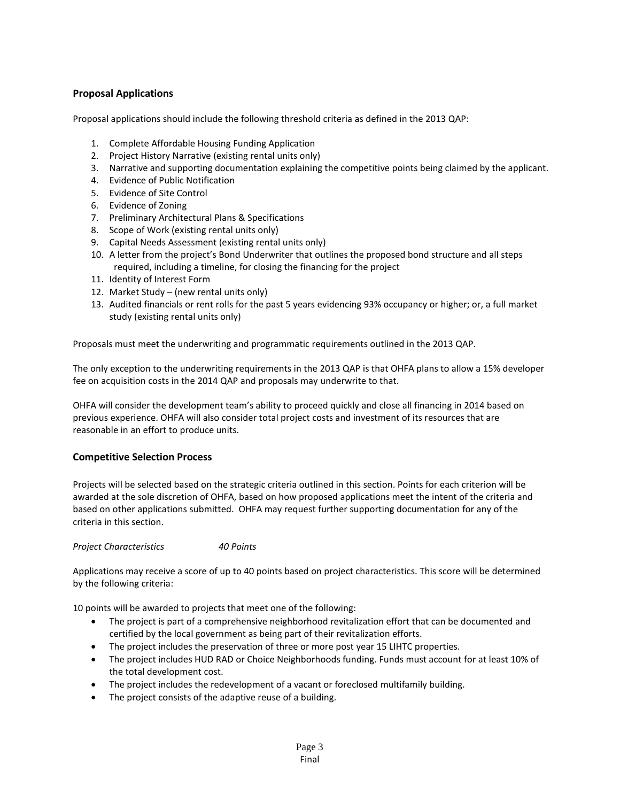## **Proposal Applications**

Proposal applications should include the following threshold criteria as defined in the 2013 QAP:

- 1. Complete Affordable Housing Funding Application
- 2. Project History Narrative (existing rental units only)
- 3. Narrative and supporting documentation explaining the competitive points being claimed by the applicant.
- 4. Evidence of Public Notification
- 5. Evidence of Site Control
- 6. Evidence of Zoning
- 7. Preliminary Architectural Plans & Specifications
- 8. Scope of Work (existing rental units only)
- 9. Capital Needs Assessment (existing rental units only)
- 10. A letter from the project's Bond Underwriter that outlines the proposed bond structure and all steps required, including a timeline, for closing the financing for the project
- 11. Identity of Interest Form
- 12. Market Study (new rental units only)
- 13. Audited financials or rent rolls for the past 5 years evidencing 93% occupancy or higher; or, a full market study (existing rental units only)

Proposals must meet the underwriting and programmatic requirements outlined in the 2013 QAP.

The only exception to the underwriting requirements in the 2013 QAP is that OHFA plans to allow a 15% developer fee on acquisition costs in the 2014 QAP and proposals may underwrite to that.

OHFA will consider the development team's ability to proceed quickly and close all financing in 2014 based on previous experience. OHFA will also consider total project costs and investment of its resources that are reasonable in an effort to produce units.

### **Competitive Selection Process**

Projects will be selected based on the strategic criteria outlined in this section. Points for each criterion will be awarded at the sole discretion of OHFA, based on how proposed applications meet the intent of the criteria and based on other applications submitted. OHFA may request further supporting documentation for any of the criteria in this section.

*Project Characteristics 40 Points*

Applications may receive a score of up to 40 points based on project characteristics. This score will be determined by the following criteria:

10 points will be awarded to projects that meet one of the following:

- The project is part of a comprehensive neighborhood revitalization effort that can be documented and certified by the local government as being part of their revitalization efforts.
- The project includes the preservation of three or more post year 15 LIHTC properties.
- The project includes HUD RAD or Choice Neighborhoods funding. Funds must account for at least 10% of the total development cost.
- The project includes the redevelopment of a vacant or foreclosed multifamily building.
- The project consists of the adaptive reuse of a building.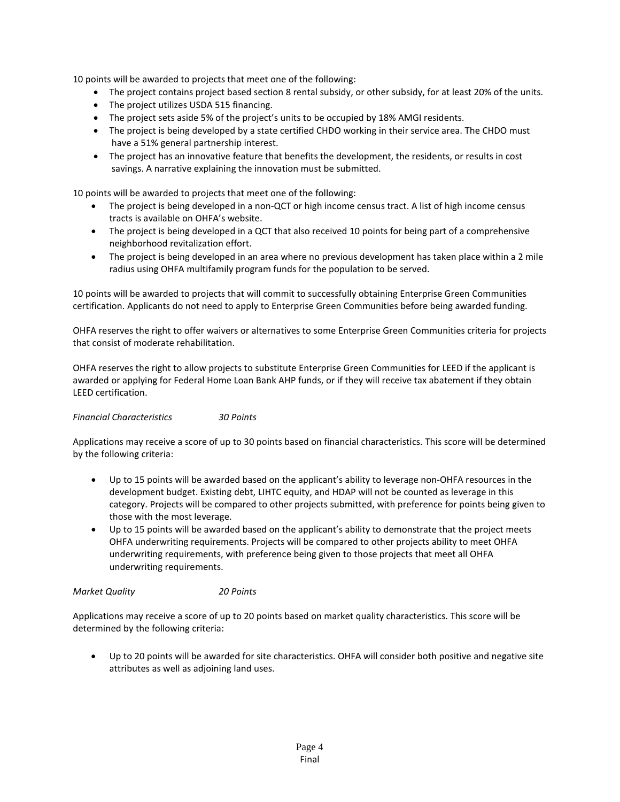10 points will be awarded to projects that meet one of the following:

- The project contains project based section 8 rental subsidy, or other subsidy, for at least 20% of the units.
- The project utilizes USDA 515 financing.
- The project sets aside 5% of the project's units to be occupied by 18% AMGI residents.
- The project is being developed by a state certified CHDO working in their service area. The CHDO must have a 51% general partnership interest.
- The project has an innovative feature that benefits the development, the residents, or results in cost savings. A narrative explaining the innovation must be submitted.

10 points will be awarded to projects that meet one of the following:

- The project is being developed in a non-QCT or high income census tract. A list of high income census tracts is available on OHFA's website.
- The project is being developed in a QCT that also received 10 points for being part of a comprehensive neighborhood revitalization effort.
- The project is being developed in an area where no previous development has taken place within a 2 mile radius using OHFA multifamily program funds for the population to be served.

10 points will be awarded to projects that will commit to successfully obtaining Enterprise Green Communities certification. Applicants do not need to apply to Enterprise Green Communities before being awarded funding.

OHFA reserves the right to offer waivers or alternatives to some Enterprise Green Communities criteria for projects that consist of moderate rehabilitation.

OHFA reserves the right to allow projects to substitute Enterprise Green Communities for LEED if the applicant is awarded or applying for Federal Home Loan Bank AHP funds, or if they will receive tax abatement if they obtain LEED certification.

*Financial Characteristics 30 Points*

Applications may receive a score of up to 30 points based on financial characteristics. This score will be determined by the following criteria:

- Up to 15 points will be awarded based on the applicant's ability to leverage non-OHFA resources in the development budget. Existing debt, LIHTC equity, and HDAP will not be counted as leverage in this category. Projects will be compared to other projects submitted, with preference for points being given to those with the most leverage.
- Up to 15 points will be awarded based on the applicant's ability to demonstrate that the project meets OHFA underwriting requirements. Projects will be compared to other projects ability to meet OHFA underwriting requirements, with preference being given to those projects that meet all OHFA underwriting requirements.

*Market Quality 20 Points*

Applications may receive a score of up to 20 points based on market quality characteristics. This score will be determined by the following criteria:

• Up to 20 points will be awarded for site characteristics. OHFA will consider both positive and negative site attributes as well as adjoining land uses.